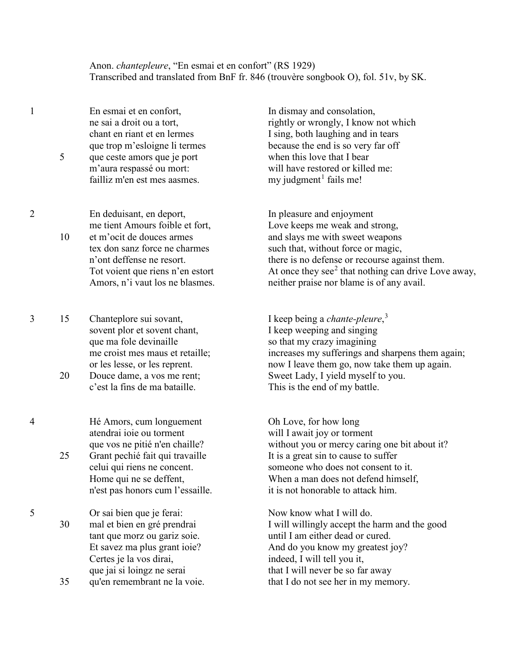Anon. *chantepleure*, "En esmai et en confort" (RS 1929) Transcribed and translated from BnF fr. 846 (trouvère songbook O), fol. 51v, by SK.

1 En esmai et en confort, ne sai a droit ou a tort, chant en riant et en lermes que trop m'esloigne li termes 5 que ceste amors que je port m'aura respassé ou mort: failliz m'en est mes aasmes.

2 En deduisant, en deport, me tient Amours foible et fort, 10 et m'ocit de douces armes tex don sanz force ne charmes n'ont deffense ne resort. Tot voient que riens n'en estort Amors, n'i vaut los ne blasmes.

3 15 Chanteplore sui sovant, sovent plor et sovent chant, que ma fole devinaille me croist mes maus et retaille; or les lesse, or les reprent. 20 Douce dame, a vos me rent;

c'est la fins de ma bataille.

4 Hé Amors, cum longuement atendrai ioie ou torment que vos ne pitié n'en chaille? 25 Grant pechié fait qui travaille

celui qui riens ne concent. Home qui ne se deffent, n'est pas honors cum l'essaille.

5 Or sai bien que je ferai: 30 mal et bien en gré prendrai tant que morz ou gariz soie. Et savez ma plus grant ioie? Certes je la vos dirai, que jai si loingz ne serai

35 qu'en remembrant ne la voie.

In dismay and consolation, rightly or wrongly, I know not which I sing, both laughing and in tears because the end is so very far off when this love that I bear will have restored or killed me:  $my$  judgment<sup>[1](#page-1-0)</sup> fails me!

In pleasure and enjoyment Love keeps me weak and strong, and slays me with sweet weapons such that, without force or magic, there is no defense or recourse against them. At once they see $2$  that nothing can drive Love away, neither praise nor blame is of any avail.

I keep being a *chante-pleure*, [3](#page-1-2) I keep weeping and singing so that my crazy imagining increases my sufferings and sharpens them again; now I leave them go, now take them up again. Sweet Lady, I yield myself to you. This is the end of my battle.

Oh Love, for how long will I await joy or torment without you or mercy caring one bit about it? It is a great sin to cause to suffer someone who does not consent to it. When a man does not defend himself, it is not honorable to attack him.

Now know what I will do. I will willingly accept the harm and the good until I am either dead or cured. And do you know my greatest joy? indeed, I will tell you it, that I will never be so far away that I do not see her in my memory.